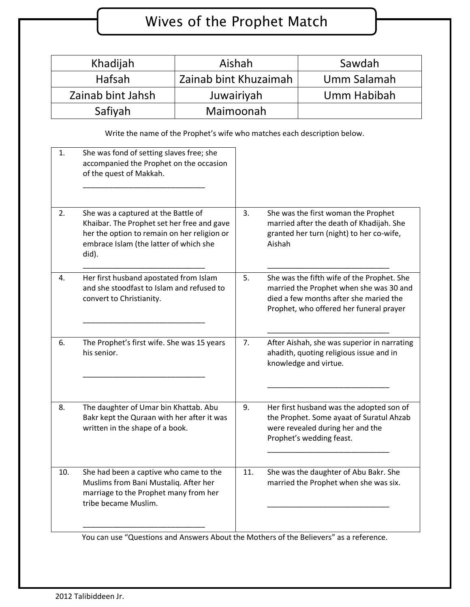## Wives of the Prophet Match

| Khadijah                        | Aishah                | Sawdah      |
|---------------------------------|-----------------------|-------------|
| Hafsah                          | Zainab bint Khuzaimah | Umm Salamah |
| Zainab bint Jahsh<br>Juwairiyah |                       | Umm Habibah |
| Safiyah                         | Maimoonah             |             |

Write the name of the Prophet's wife who matches each description below.

| 1.  | She was fond of setting slaves free; she<br>accompanied the Prophet on the occasion<br>of the quest of Makkah.                                                                      |     |                                                                                                                                                                            |
|-----|-------------------------------------------------------------------------------------------------------------------------------------------------------------------------------------|-----|----------------------------------------------------------------------------------------------------------------------------------------------------------------------------|
| 2.  | She was a captured at the Battle of<br>Khaibar. The Prophet set her free and gave<br>her the option to remain on her religion or<br>embrace Islam (the latter of which she<br>did). | 3.  | She was the first woman the Prophet<br>married after the death of Khadijah. She<br>granted her turn (night) to her co-wife,<br>Aishah                                      |
| 4.  | Her first husband apostated from Islam<br>and she stoodfast to Islam and refused to<br>convert to Christianity.                                                                     | 5.  | She was the fifth wife of the Prophet. She<br>married the Prophet when she was 30 and<br>died a few months after she maried the<br>Prophet, who offered her funeral prayer |
| 6.  | The Prophet's first wife. She was 15 years<br>his senior.                                                                                                                           | 7.  | After Aishah, she was superior in narrating<br>ahadith, quoting religious issue and in<br>knowledge and virtue.                                                            |
| 8.  | The daughter of Umar bin Khattab. Abu<br>Bakr kept the Quraan with her after it was<br>written in the shape of a book.                                                              | 9.  | Her first husband was the adopted son of<br>the Prophet. Some ayaat of Suratul Ahzab<br>were revealed during her and the<br>Prophet's wedding feast.                       |
| 10. | She had been a captive who came to the<br>Muslims from Bani Mustaliq. After her<br>marriage to the Prophet many from her<br>tribe became Muslim.                                    | 11. | She was the daughter of Abu Bakr. She<br>married the Prophet when she was six.                                                                                             |

You can use "Questions and Answers About the Mothers of the Believers" as a reference.